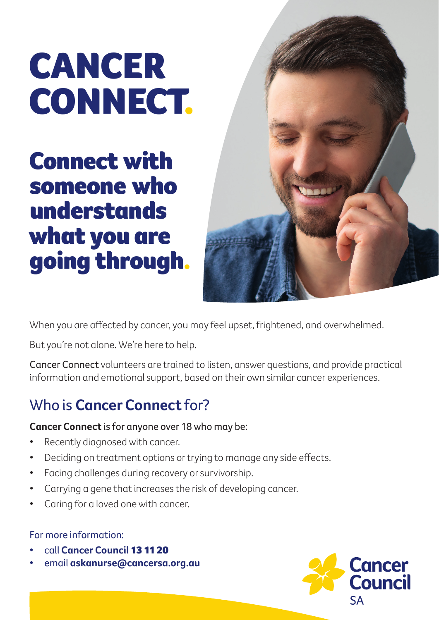# CANCER CONNECT.

Connect with someone who understands what you are going through.



When you are affected by cancer, you may feel upset, frightened, and overwhelmed.

But you're not alone. We're here to help.

Cancer Connect volunteers are trained to listen, answer questions, and provide practical information and emotional support, based on their own similar cancer experiences.

## Who is **Cancer Connect** for?

### **Cancer Connect** is for anyone over 18 who may be:

- Recently diagnosed with cancer.
- Deciding on treatment options or trying to manage any side effects.
- Facing challenges during recovery or survivorship.
- Carrying a gene that increases the risk of developing cancer.
- Caring for a loved one with cancer.

### For more information:

- call **Cancer Council** 13 11 20
- email **askanurse@cancersa.org.au**